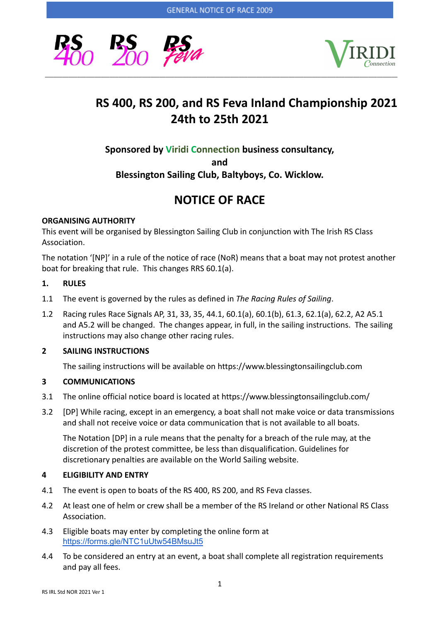



# **RS 400, RS 200, and RS Feva Inland Championship 2021 24th to 25th 2021**

**Sponsored by Viridi Connection business consultancy,**

**and**

**Blessington Sailing Club, Baltyboys, Co. Wicklow.**

# **NOTICE OF RACE**

# **ORGANISING AUTHORITY**

This event will be organised by Blessington Sailing Club in conjunction with The Irish RS Class Association.

The notation '[NP]' in a rule of the notice of race (NoR) means that a boat may not protest another boat for breaking that rule. This changes RRS 60.1(a).

# **1. RULES**

- 1.1 The event is governed by the rules as defined in *The Racing Rules of Sailing*.
- 1.2 Racing rules Race Signals AP, 31, 33, 35, 44.1, 60.1(a), 60.1(b), 61.3, 62.1(a), 62.2, A2 A5.1 and A5.2 will be changed. The changes appear, in full, in the sailing instructions. The sailing instructions may also change other racing rules.

# **2 SAILING INSTRUCTIONS**

The sailing instructions will be available on https://www.blessingtonsailingclub.com

# **3 COMMUNICATIONS**

- 3.1 The online official notice board is located at https://www.blessingtonsailingclub.com/
- 3.2 [DP] While racing, except in an emergency, a boat shall not make voice or data transmissions and shall not receive voice or data communication that is not available to all boats.

The Notation [DP] in a rule means that the penalty for a breach of the rule may, at the discretion of the protest committee, be less than disqualification. Guidelines for discretionary penalties are available on the World Sailing website.

# **4 ELIGIBILITY AND ENTRY**

- 4.1 The event is open to boats of the RS 400, RS 200, and RS Feva classes.
- 4.2 At least one of helm or crew shall be a member of the RS Ireland or other National RS Class Association.
- 4.3 Eligible boats may enter by completing the online form at <https://forms.gle/NTC1uUtw54BMsuJt5>
- 4.4 To be considered an entry at an event, a boat shall complete all registration requirements and pay all fees.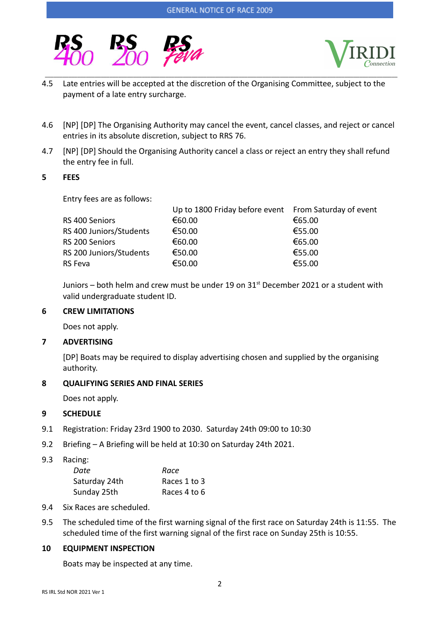



4.5 Late entries will be accepted at the discretion of the Organising Committee, subject to the payment of a late entry surcharge.

\_\_\_\_\_\_\_\_\_\_\_\_\_\_\_\_\_\_\_\_\_\_\_\_\_\_\_\_\_\_\_\_\_\_\_\_\_\_\_\_\_\_\_\_\_\_\_\_\_\_\_\_\_\_\_\_\_\_\_\_\_\_\_\_\_\_\_\_\_\_\_\_\_\_\_\_\_\_\_\_\_\_\_\_\_\_\_\_\_\_\_\_\_\_\_\_\_\_\_\_\_\_\_\_\_\_\_\_\_\_\_\_\_\_\_\_\_\_\_\_

- 4.6 [NP] [DP] The Organising Authority may cancel the event, cancel classes, and reject or cancel entries in its absolute discretion, subject to RRS 76.
- 4.7 [NP] [DP] Should the Organising Authority cancel a class or reject an entry they shall refund the entry fee in full.

#### **5 FEES**

Entry fees are as follows:

| €60.00 | €65.00                                                |
|--------|-------------------------------------------------------|
| €50.00 | €55.00                                                |
| €60.00 | €65.00                                                |
| €50.00 | €55.00                                                |
| €50.00 | €55.00                                                |
|        | Up to 1800 Friday before event From Saturday of event |

Juniors – both helm and crew must be under 19 on  $31<sup>st</sup>$  December 2021 or a student with valid undergraduate student ID.

## **6 CREW LIMITATIONS**

Does not apply.

#### **7 ADVERTISING**

[DP] Boats may be required to display advertising chosen and supplied by the organising authority.

#### **8 QUALIFYING SERIES AND FINAL SERIES**

Does not apply.

# **9 SCHEDULE**

- 9.1 Registration: Friday 23rd 1900 to 2030. Saturday 24th 09:00 to 10:30
- 9.2 Briefing A Briefing will be held at 10:30 on Saturday 24th 2021.

9.3 Racing:

| Date          | Race         |
|---------------|--------------|
| Saturday 24th | Races 1 to 3 |
| Sunday 25th   | Races 4 to 6 |

- 9.4 Six Races are scheduled.
- 9.5 The scheduled time of the first warning signal of the first race on Saturday 24th is 11:55. The scheduled time of the first warning signal of the first race on Sunday 25th is 10:55.

# **10 EQUIPMENT INSPECTION**

Boats may be inspected at any time.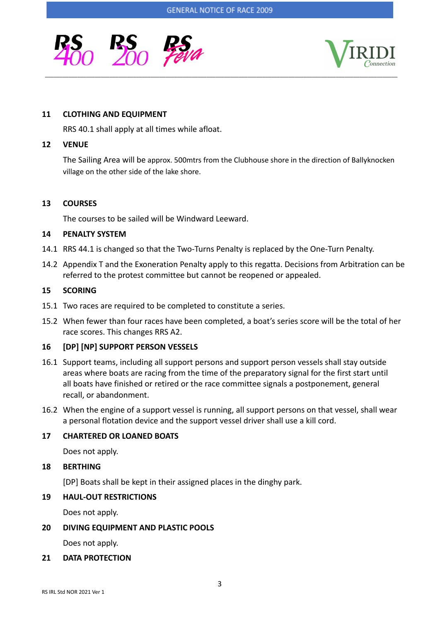\_\_\_\_\_\_\_\_\_\_\_\_\_\_\_\_\_\_\_\_\_\_\_\_\_\_\_\_\_\_\_\_\_\_\_\_\_\_\_\_\_\_\_\_\_\_\_\_\_\_\_\_\_\_\_\_\_\_\_\_\_\_\_\_\_\_\_\_\_\_\_\_\_\_\_\_\_\_\_\_\_\_\_\_\_\_\_\_\_\_\_\_\_\_\_\_\_\_\_\_\_\_\_\_\_\_\_\_\_\_\_\_\_\_\_\_\_\_\_\_





#### **11 CLOTHING AND EQUIPMENT**

RRS 40.1 shall apply at all times while afloat.

#### **12 VENUE**

The Sailing Area will be approx. 500mtrs from the Clubhouse shore in the direction of Ballyknocken village on the other side of the lake shore.

### **13 COURSES**

The courses to be sailed will be Windward Leeward.

#### **14 PENALTY SYSTEM**

- 14.1 RRS 44.1 is changed so that the Two-Turns Penalty is replaced by the One-Turn Penalty.
- 14.2 Appendix T and the Exoneration Penalty apply to this regatta. Decisions from Arbitration can be referred to the protest committee but cannot be reopened or appealed.

### **15 SCORING**

- 15.1 Two races are required to be completed to constitute a series.
- 15.2 When fewer than four races have been completed, a boat's series score will be the total of her race scores. This changes RRS A2.

# **16 [DP] [NP] SUPPORT PERSON VESSELS**

- 16.1 Support teams, including all support persons and support person vessels shall stay outside areas where boats are racing from the time of the preparatory signal for the first start until all boats have finished or retired or the race committee signals a postponement, general recall, or abandonment.
- 16.2 When the engine of a support vessel is running, all support persons on that vessel, shall wear a personal flotation device and the support vessel driver shall use a kill cord.

# **17 CHARTERED OR LOANED BOATS**

Does not apply.

#### **18 BERTHING**

[DP] Boats shall be kept in their assigned places in the dinghy park.

#### **19 HAUL-OUT RESTRICTIONS**

Does not apply.

#### **20 DIVING EQUIPMENT AND PLASTIC POOLS**

Does not apply.

#### **21 DATA PROTECTION**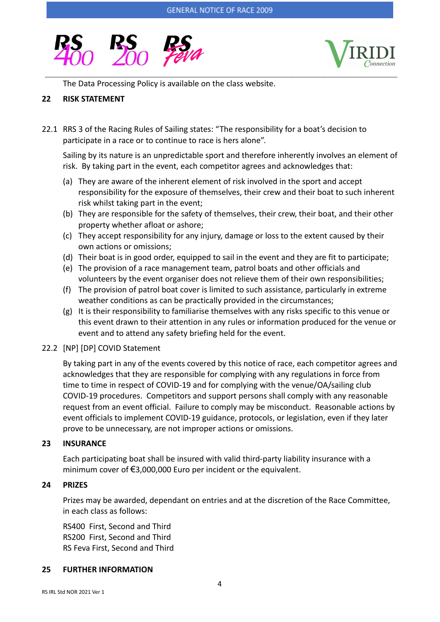\_\_\_\_\_\_\_\_\_\_\_\_\_\_\_\_\_\_\_\_\_\_\_\_\_\_\_\_\_\_\_\_\_\_\_\_\_\_\_\_\_\_\_\_\_\_\_\_\_\_\_\_\_\_\_\_\_\_\_\_\_\_\_\_\_\_\_\_\_\_\_\_\_\_\_\_\_\_\_\_\_\_\_\_\_\_\_\_\_\_\_\_\_\_\_\_\_\_\_\_\_\_\_\_\_\_\_\_\_\_\_\_\_\_\_\_\_\_\_\_





The Data Processing Policy is available on the class website.

#### **22 RISK STATEMENT**

22.1 RRS 3 of the Racing Rules of Sailing states: "The responsibility for a boat's decision to participate in a race or to continue to race is hers alone".

Sailing by its nature is an unpredictable sport and therefore inherently involves an element of risk. By taking part in the event, each competitor agrees and acknowledges that:

- (a) They are aware of the inherent element of risk involved in the sport and accept responsibility for the exposure of themselves, their crew and their boat to such inherent risk whilst taking part in the event;
- (b) They are responsible for the safety of themselves, their crew, their boat, and their other property whether afloat or ashore;
- (c) They accept responsibility for any injury, damage or loss to the extent caused by their own actions or omissions;
- (d) Their boat is in good order, equipped to sail in the event and they are fit to participate;
- (e) The provision of a race management team, patrol boats and other officials and volunteers by the event organiser does not relieve them of their own responsibilities;
- (f) The provision of patrol boat cover is limited to such assistance, particularly in extreme weather conditions as can be practically provided in the circumstances;
- (g) It is their responsibility to familiarise themselves with any risks specific to this venue or this event drawn to their attention in any rules or information produced for the venue or event and to attend any safety briefing held for the event.

#### 22.2 [NP] [DP] COVID Statement

By taking part in any of the events covered by this notice of race, each competitor agrees and acknowledges that they are responsible for complying with any regulations in force from time to time in respect of COVID-19 and for complying with the venue/OA/sailing club COVID-19 procedures. Competitors and support persons shall comply with any reasonable request from an event official. Failure to comply may be misconduct. Reasonable actions by event officials to implement COVID-19 guidance, protocols, or legislation, even if they later prove to be unnecessary, are not improper actions or omissions.

#### **23 INSURANCE**

Each participating boat shall be insured with valid third-party liability insurance with a minimum cover of €3,000,000 Euro per incident or the equivalent.

#### **24 PRIZES**

Prizes may be awarded, dependant on entries and at the discretion of the Race Committee, in each class as follows:

RS400 First, Second and Third RS200 First, Second and Third RS Feva First, Second and Third

#### **25 FURTHER INFORMATION**